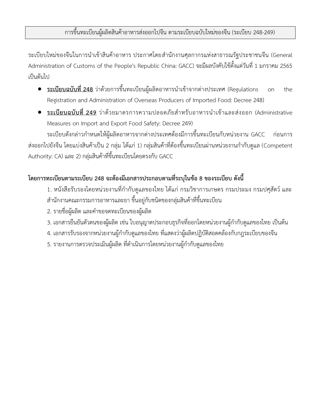ระเบียบใหม่ของจีนในการนำเข้าสินค้าอาหาร ประกาศโดยสำนักงานศุลกากรแห่งสาธารณรัฐประชาชนจีน (General Administration of Customs of the People's Republic China: GACC) จะมีผลบังคับใช้ตั้งแต่วันที่ 1 มกราคม 2565 เป็นต้นไป

- <u>ระเบียบฉบับที่ 248</u> ว่าด้วยการขึ้นทะเบียนผู้ผลิตอาหารนำเข้าจากต่างประเทศ (Regulations on the Registration and Administration of Overseas Producers of Imported Food: Decree 248)
- <u>ระเบียบฉบับที่ 249</u> ว่าด้วยมาตรการความปลอดภัยสำหรับอาหารนำเข้าและส่งออก (Administrative Measures on Import and Export Food Safety: Decree 249)

ระเบียบดังกล่าวกำหนดให้ผู้ผลิตอาหารจากต่างประเทศต้องมีการขึ้นทะเบียนกับหน่วยงาน GACC ก่อนการ ้ส่งออกไปยังจีน โดยแบ่งสินค้าเป็น 2 กลุ่ม ได้แก่ 1) กลุ่มสินค้าที่ต้องขึ้นทะเบียนผ่านหน่วยงานกำกับดูแล (Competent Authority: CA) และ 2) กลุ่มสินค้าที่ขึ้นทะเบียนโดยตรงกับ GACC

## **โดยการทะเบียนตามระเบียบ 248 จะต้องมีเอกสารประกอบตามที่ระบุในข้อ 8 ของระเบียบ ดังนี้**

- 1. หนังสือรับรองโดยหน่วยงานที่กำกับดูแลของไทย ได้แก่ กรมวิชาการเกษตร กรมประมง กรมปศุสัตว์ และ ส านักงานคณะกรรมการอาหารและยา ขึ้นอยู่กับชนิดของกลุ่มสินค้าที่ขึ้นทะเบียน
- 2. รายชื่อผู้ผลิต และคำขอจดทะเบียนของผู้ผลิต
- 3. เอกสารยืนยันตัวตนของผู้ผลิต เช่น ใบอนุญาตประกอบธุรกิจที่ออกโดยหน่วยงานผู้กำกับดูแลของไทย เป็นต้น
- 4. เอกสารรับรองจากหน่วยงานผู้กำกับดูแลของไทย ที่แสดงว่าผู้ผลิตปฏิบัติสอดคล้องกับกฎระเบียบของจีน
- 5. รายงานการตรวจประเมินผู้ผลิต ที่ดำเนินการโดยหน่วยงานผู้กำกับดูแลของไทย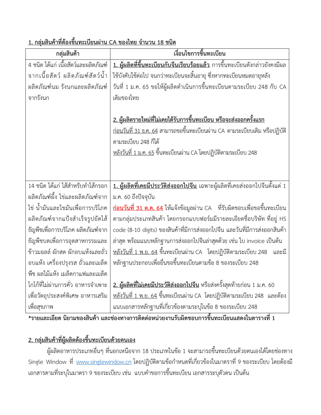| กลุ่มสินค้า                          | เงื่อนไขการขึ้นทะเบียน                                                                    |  |
|--------------------------------------|-------------------------------------------------------------------------------------------|--|
| 4 ชนิด ได้แก่ เนื้อสัตว์และผลิตภัณฑ์ | <u>1. ผู้ผลิตที่ขึ้นทะเบียนกับจีนเรียบร้อยแล้ว การขึ้นทะเบียนดังกล่าวยังคงมีผล</u>        |  |
| ้จากเนื้อสัตว์ ผลิตภัณฑ์สัตว์น้ำ     | ใช้บังคับใช้ต่อไป จนกว่าทะเบียนจะสิ้นอายุ ซึ่งหากทะเบียนหมดอายุหลัง                       |  |
| ผลิตภัณฑ์นม รังนกและผลิตภัณฑ์        | วันที่ 1 ม.ค. 65 ขอให้ผู้ผลิตดำเนินการขึ้นทะเบียนตามระเบียบ 248 กับ CA                    |  |
| จากรังนก                             | เดิมของไทย                                                                                |  |
|                                      |                                                                                           |  |
|                                      | <u>2. ผู้ผลิตรายใหม่ที่ไม่เคยได้รับการขึ้นทะเบียน หรือจะส่งออกครั้งแรก</u>                |  |
|                                      | <u>ก่อนวันที่ 31 ธ.ค. 64</u> สามารถขอขึ้นทะเบียนผ่าน CA ตามระเบียบเดิม หรือปฏิบัติ        |  |
|                                      | ตามระเบียบ 248 ก็ได้                                                                      |  |
|                                      | <u>หลังวันที่ 1 ม.ค. 65</u> ขึ้นทะเบียนผ่าน CA โดยปฏิบัติตามระเบียบ 248                   |  |
|                                      |                                                                                           |  |
|                                      |                                                                                           |  |
| 14 ชนิด ได้แก่ ไส้สำหรับทำไส้กรอก    | <u>1. ผู้ผลิตที่เคยมีประวัติส่งออกไปจีน</u> เฉพาะผู้ผลิตที่เคยส่งออกไปจีนตั้งแต่ 1        |  |
| ผลิตภัณฑ์ผึ้ง ไข่และผลิตภัณฑ์จาก     | ม.ค. 60 ถึงปัจจุบัน                                                                       |  |
| ไข่ น้ำมันและไขมันเพื่อการบริโภค     | <u>ก่<b>อนวันที่ 31 ต.ค. 64</b> ให้แจ้งข้อมูลผ่าน CA   ที่รับผิดชอบเพื่อขอขึ้นทะเบียน</u> |  |
| ผลิตภัณฑ์จากแป้งสำเร็จรูปยัดไส้      | ตามกลุ่มประเภทสินค้า โดยกรอกแบบฟอร์มมีรายละเอียดชื่อบริษัท ที่อยู่ HS                     |  |
| ธัญพืชเพื่อการบริโภค ผลิตภัณฑ์จาก    | code (8-10 digits) ของสินค้าที่มีการส่งออกไปจีน และวันที่มีการส่งออกสินค้า                |  |
| ธัญพืชบดเพื่อการอุตสาหกรรมและ        | ล่าสุด พร้อมแนบหลักฐานการส่งออกไปจีนล่าสุดด้วย เช่น ใบ invoice เป็นต้น                    |  |
| ข้าวมอลล์ ผักสด ผักอบแห้งและถั่ว     | <u>หลังวันที่ 1 พ.ย. 64</u> ขึ้นทะเบียนผ่าน CA   โดยปฏิบัติตามระเบียบ 248<br>และมี        |  |
| ้อบแห้ง เครื่องปรุงรส ถั่วและเมล็ด   | หลักฐานประกอบเพื่อยื่นขอขึ้นทะเบียนตามข้อ 8 ของระเบียบ 248                                |  |
| พืช ผลไม้แห้ง เมล็ดกาแฟและเมล็ด      |                                                                                           |  |
| โกโก้ที่ไม่ผ่านการคั่ว อาหารจำเพาะ   | <u>2. ผู้ผลิตที่ไม่เคยมีประวัติส่งออกไปจีน</u> หรือส่งครั้งสุดท้ายก่อน 1 ม.ค. 60          |  |
| เพื่อวัตถุประสงค์พิเศษ อาหารเสริม    | <u>หลังวันที่ 1 พ.ย. 64</u> ขึ้นทะเบียนผ่าน CA  โดยปฏิบัติตามระเบียบ 248  และต้อง         |  |
| เพื่อสุขภาพ                          | แนบเอกสารหลักฐานที่เกี่ยวข้องตามระบุในข้อ 8 ของระเบียบ 248                                |  |

**1. กลุ่มสินค้าที่ต้องขึ้นทะเบียนผ่าน CA ของไทย จ านวน 18 ชนิด**

**\*รายและเอียด นิยามของสินค้า และช่องทางการติดต่อหน่วยงานรับผิดชอบการขึ้นทะเบียนแสดงในตารางที่ 1**

## **2. กลุ่มสินค้าที่ผู้ผลิตต้องขึ้นทะเบียนด้วยตนเอง**

ผู้ผลิตอาหารประเภทอื่นๆ ที่นอกเหนือจาก 18 ประเภทในข้อ 1 จะสามารถขึ้นทะเบียนด้วยตนเองได้โดยช่องทาง Single Window ที่ [www.singlewindow.cn](http://www.singlewindow.cn/) โดยปฏิบัติตามข้อกำหนดที่เกี่ยวข้องในมาตราที่ 9 ของระเบียบ โดยต้องมี เอกสารตามที่ระบุในมาตรา 9 ของระเบียบ เช่น แบบคำขอการขึ้นทะเบียน เอกสารระบุตัวตน เป็นต้น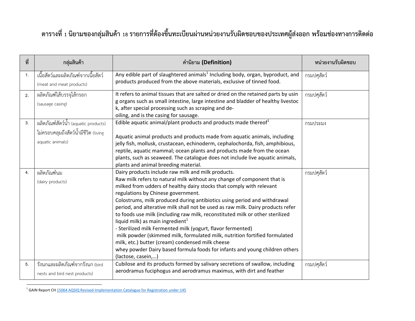## <span id="page-2-0"></span>**ตารางที่ 1 นิยามของกลุ่มสินค้า 18 รายการที่ต้องขึ้นทะเบียนผ่านหน่วยงานรับผิดชอบของประเทศผู้ส่งออก พร้อมช่องทางการติดต่อ**

| ที่            | กลุ่มสินค้า                                                                                       | คำนิยาม (Definition)                                                                                                                                                                                                                                                                                                                                                                                                                                                                                                                                                                                                                                                                                                                                                                                                                              | หน่วยงานรับผิดชอบ |
|----------------|---------------------------------------------------------------------------------------------------|---------------------------------------------------------------------------------------------------------------------------------------------------------------------------------------------------------------------------------------------------------------------------------------------------------------------------------------------------------------------------------------------------------------------------------------------------------------------------------------------------------------------------------------------------------------------------------------------------------------------------------------------------------------------------------------------------------------------------------------------------------------------------------------------------------------------------------------------------|-------------------|
| $\mathbf{1}$ . | ้<br>เนื้อสัตว์และผลิตภัณฑ์จากเนื้อสัตว์<br>(meat and meat products)                              | Any edible part of slaughtered animals <sup>1</sup> Including body, organ, byproduct, and<br>products produced from the above materials, exclusive of tinned food.                                                                                                                                                                                                                                                                                                                                                                                                                                                                                                                                                                                                                                                                                | กรมปศุสัตว์       |
| 2.             | ผลิตภัณฑ์ไส้บรรจุไส้กรอก<br>(sausage casing)                                                      | It refers to animal tissues that are salted or dried on the retained parts by usin<br>g organs such as small intestine, large intestine and bladder of healthy livestoc<br>k, after special processing such as scraping and de-<br>oiling, and is the casing for sausage.                                                                                                                                                                                                                                                                                                                                                                                                                                                                                                                                                                         | กรมปศุสัตว์       |
| 3.             | ผลิตภัณฑ์สัตว์น้ำ (aquatic products)<br>ไม่ครอบคลุมถึงสัตว์น้ำมีชีวิต (living<br>aquatic animals) | Edible aquatic animal/plant products and products made thereof $1$<br>Aquatic animal products and products made from aquatic animals, including<br>jelly fish, mollusk, crustacean, echinoderm, cephalochorda, fish, amphibious,<br>reptile, aquatic mammal; ocean plants and products made from the ocean<br>plants, such as seaweed. The catalogue does not include live aquatic animals,<br>plants and animal breeding material.                                                                                                                                                                                                                                                                                                                                                                                                               | กรมประมง          |
| 4.             | ผลิตภัณฑ์นม<br>(dairy products)                                                                   | Dairy products include raw milk and milk products.<br>Raw milk refers to natural milk without any change of component that is<br>milked from udders of healthy dairy stocks that comply with relevant<br>regulations by Chinese government.<br>Colostrums, milk produced during antibiotics using period and withdrawal<br>period, and alterative milk shall not be used as raw milk. Dairy products refer<br>to foods use milk (including raw milk, reconstituted milk or other sterilized<br>liquid milk) as main ingredient <sup>1</sup><br>- Sterilized milk Fermented milk (yogurt, flavor fermented)<br>milk powder (skimmed milk, formulated milk, nutrition fortified formulated<br>milk, etc.) butter (cream) condensed milk cheese<br>whey powder Dairy based formula foods for infants and young children others<br>(lactose, casein,) | กรมปศุสัตว์       |
| 5.             | รังนกและผลิตภัณฑ์จากรังนก (bird<br>nests and bird nest products)                                  | Cubilose and its products formed by salivary secretions of swallow, including<br>aerodramus fuciphogus and aerodramus maximus, with dirt and feather                                                                                                                                                                                                                                                                                                                                                                                                                                                                                                                                                                                                                                                                                              | กรมปศุสัตว์       |

 1 GAIN Report C[H 15064 AQSIQ Revised-Implementation Catalogue for Registration under 145](https://apps.fas.usda.gov/newgainapi/api/report/downloadreportbyfilename?filename=AQSIQ%20Revised-Implementation%20Catalogue%20for%20Registration_Beijing_China%20-%20Peoples%20Republic%20of_12-18-2015.pdf)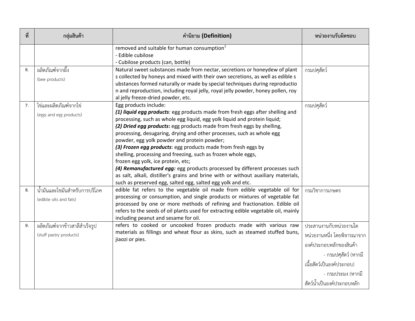| ที่ | กลุ่มสินค้า                                              | คำนิยาม (Definition)                                                                                                                                                                                                                                                                                                                                                                                                                                                                                                                                                                                                                                                                                                                                                                             | หน่วยงานรับผิดชอบ                                                                                                                                                                        |
|-----|----------------------------------------------------------|--------------------------------------------------------------------------------------------------------------------------------------------------------------------------------------------------------------------------------------------------------------------------------------------------------------------------------------------------------------------------------------------------------------------------------------------------------------------------------------------------------------------------------------------------------------------------------------------------------------------------------------------------------------------------------------------------------------------------------------------------------------------------------------------------|------------------------------------------------------------------------------------------------------------------------------------------------------------------------------------------|
|     |                                                          | removed and suitable for human consumption <sup>1</sup><br>- Edible cubilose<br>- Cubilose products (can, bottle)                                                                                                                                                                                                                                                                                                                                                                                                                                                                                                                                                                                                                                                                                |                                                                                                                                                                                          |
| 6.  | ผลิตภัณฑ์จากผึ้ง<br>(bee products)                       | Natural sweet substances made from nectar, secretions or honeydew of plant<br>s collected by honeys and mixed with their own secretions, as well as edible s<br>ubstances formed naturally or made by special techniques during reproductio<br>n and reproduction, including royal jelly, royal jelly powder, honey pollen, roy<br>al jelly freeze-dried powder, etc.                                                                                                                                                                                                                                                                                                                                                                                                                            | กรมปศุสัตว์                                                                                                                                                                              |
| 7.  | ไข่และผลิตภัณฑ์จากไข่<br>(eggs and egg products)         | Egg products include:<br>(1) liquid egg products: egg products made from fresh eggs after shelling and<br>processing, such as whole egg liquid, egg yolk liquid and protein liquid;<br>(2) Dried egg products: egg products made from fresh eggs by shelling,<br>processing, desugaring, drying and other processes, such as whole egg<br>powder, egg yolk powder and protein powder;<br>(3) Frozen egg products: egg products made from fresh eggs by<br>shelling, processing and freezing, such as frozen whole eggs,<br>frozen egg yolk, ice protein, etc;<br>(4) Remanufactured egg: egg products processed by different processes such<br>as salt, alkali, distiller's grains and brine with or without auxiliary materials,<br>such as preserved egg, salted egg, salted egg yolk and etc. | กรมปศุสัตว์                                                                                                                                                                              |
| 8.  | น้ำมันและไขมันสำหรับการบริโภค<br>(edible oils and fats)  | edible fat refers to the vegetable oil made from edible vegetable oil for<br>processing or consumption, and single products or mixtures of vegetable fat<br>processed by one or more methods of refining and fractionation. Edible oil<br>refers to the seeds of oil plants used for extracting edible vegetable oil, mainly<br>including peanut and sesame for oil.                                                                                                                                                                                                                                                                                                                                                                                                                             | กรมวิชาการเกษตร                                                                                                                                                                          |
| 9.  | ผลิตภัณฑ์จากข้าวสาลีสำเร็จรูป<br>(stuff pastry products) | refers to cooked or uncooked frozen products made with various raw<br>materials as fillings and wheat flour as skins, such as steamed stuffed buns,<br>jiaozi or pies.                                                                                                                                                                                                                                                                                                                                                                                                                                                                                                                                                                                                                           | ประสานงานกับหน่วยงานใด<br>หน่วยงานหนึ่ง โดยพิจารณาจาก<br>องค์ประกอบหลักของสินค้า<br>- กรมปศุสัตว์ (หากมี<br>เนื้อสัตว์เป็นองค์ประกอบ)<br>- กรมประมง (หากมี<br>สัตว์น้ำเป็นองค์ประกอบหลัก |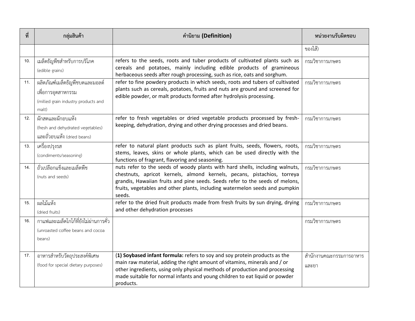| ที่ | กลุ่มสินค้า                                                                                          | คำนิยาม (Definition)                                                                                                                                                                                                                                                                                                               | หน่วยงานรับผิดชอบ                |
|-----|------------------------------------------------------------------------------------------------------|------------------------------------------------------------------------------------------------------------------------------------------------------------------------------------------------------------------------------------------------------------------------------------------------------------------------------------|----------------------------------|
|     |                                                                                                      |                                                                                                                                                                                                                                                                                                                                    | ของไส้)                          |
| 10. | เมล็ดธัญพืชสำหรับการบริโภค<br>(edible grains)                                                        | refers to the seeds, roots and tuber products of cultivated plants such as<br>cereals and potatoes, mainly including edible products of gramineous<br>herbaceous seeds after rough processing, such as rice, oats and sorghum.                                                                                                     | กรมวิชาการเกษตร                  |
| 11. | ผลิตภัณฑ์เมล็ดธัญพืชบดและมอลต์<br>เพื่อการอุตสาหกรรม<br>(milled grain industry products and<br>malt) | refer to fine powdery products in which seeds, roots and tubers of cultivated<br>plants such as cereals, potatoes, fruits and nuts are ground and screened for<br>edible powder, or malt products formed after hydrolysis processing.                                                                                              | กรมวิชาการเกษตร                  |
| 12. | ผักสดและผักอบแห้ง<br>(fresh and dehydrated vegetables)<br>และถั่วอบแห้ง (dried beans)                | refer to fresh vegetables or dried vegetable products processed by fresh-<br>keeping, dehydration, drying and other drying processes and dried beans.                                                                                                                                                                              | กรมวิชาการเกษตร                  |
| 13. | เครื่องปรุงรส<br>(condiments/seasoning)                                                              | refer to natural plant products such as plant fruits, seeds, flowers, roots,<br>stems, leaves, skins or whole plants, which can be used directly with the<br>functions of fragrant, flavoring and seasoning.                                                                                                                       | กรมวิชาการเกษตร                  |
| 14. | ถั่วเปลือกแข็งและเมล็ดพืช<br>(nuts and seeds)                                                        | nuts refer to the seeds of woody plants with hard shells, including walnuts,<br>chestnuts, apricot kernels, almond kernels, pecans, pistachios, torreya<br>grandis, Hawaiian fruits and pine seeds. Seeds refer to the seeds of melons,<br>fruits, vegetables and other plants, including watermelon seeds and pumpkin<br>seeds.   | กรมวิชาการเกษตร                  |
| 15. | ผลไม้แห้ง<br>(dried fruits)                                                                          | refer to the dried fruit products made from fresh fruits by sun drying, drying<br>and other dehydration processes                                                                                                                                                                                                                  | กรมวิชาการเกษตร                  |
| 16. | กาแฟและเมล็ดโกโก้ที่ยังไม่ผ่านการคั่ว<br>(unroasted coffee beans and cocoa<br>beans)                 |                                                                                                                                                                                                                                                                                                                                    | กรมวิชาการเกษตร                  |
| 17. | อาหารสำหรับวัตถุประสงค์พิเศษ<br>(food for special dietary purposes)                                  | (1) Soybased infant formula: refers to soy and soy protein products as the<br>main raw material, adding the right amount of vitamins, minerals and / or<br>other ingredients, using only physical methods of production and processing<br>made suitable for normal infants and young children to eat liquid or powder<br>products. | สำนักงานคณะกรรมการอาหาร<br>และยา |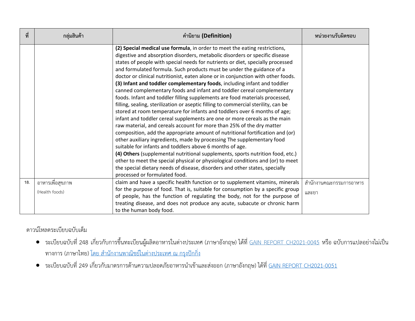| ที่ | ึกลุ่มสินค้า                       | คำนิยาม (Definition)                                                                                                                                                                                                                                                                                                                                                                                                                                                                                                                                                                                                                                                                                                                                                                                                                                                                                                                                                                                                                                                                                                                                                                                                                                                                                                                                                                                                                                                               | หน่วยงานรับผิดชอบ                |
|-----|------------------------------------|------------------------------------------------------------------------------------------------------------------------------------------------------------------------------------------------------------------------------------------------------------------------------------------------------------------------------------------------------------------------------------------------------------------------------------------------------------------------------------------------------------------------------------------------------------------------------------------------------------------------------------------------------------------------------------------------------------------------------------------------------------------------------------------------------------------------------------------------------------------------------------------------------------------------------------------------------------------------------------------------------------------------------------------------------------------------------------------------------------------------------------------------------------------------------------------------------------------------------------------------------------------------------------------------------------------------------------------------------------------------------------------------------------------------------------------------------------------------------------|----------------------------------|
|     |                                    | (2) Special medical use formula, in order to meet the eating restrictions,<br>digestive and absorption disorders, metabolic disorders or specific disease<br>states of people with special needs for nutrients or diet, specially processed<br>and formulated formula. Such products must be under the guidance of a<br>doctor or clinical nutritionist, eaten alone or in conjunction with other foods.<br>(3) Infant and toddler complementary foods, including infant and toddler<br>canned complementary foods and infant and toddler cereal complementary<br>foods. Infant and toddler filling supplements are food materials processed,<br>filling, sealing, sterilization or aseptic filling to commercial sterility, can be<br>stored at room temperature for infants and toddlers over 6 months of age;<br>infant and toddler cereal supplements are one or more cereals as the main<br>raw material, and cereals account for more than 25% of the dry matter<br>composition, add the appropriate amount of nutritional fortification and (or)<br>other auxiliary ingredients, made by processing The supplementary food<br>suitable for infants and toddlers above 6 months of age.<br>(4) Others (supplemental nutritional supplements, sports nutrition food, etc.)<br>other to meet the special physical or physiological conditions and (or) to meet<br>the special dietary needs of disease, disorders and other states, specially<br>processed or formulated food. |                                  |
| 18. | อาหารเพื่อสุขภาพ<br>(Health foods) | claim and have a specific health function or to supplement vitamins, minerals<br>for the purpose of food. That is, suitable for consumption by a specific group<br>of people, has the function of regulating the body, not for the purpose of<br>treating disease, and does not produce any acute, subacute or chronic harm<br>to the human body food.                                                                                                                                                                                                                                                                                                                                                                                                                                                                                                                                                                                                                                                                                                                                                                                                                                                                                                                                                                                                                                                                                                                             | สำนักงานคณะกรรมการอาหาร<br>และยา |

ดาวน์โหลดระเบียบฉบับเต็ม

- ระเบียบฉบับที่ 248 เกี่ยวกับการขึ้นทะเบียนผู้ผลิตอาหารในต่างประเทศ (ภาษาอังกฤษ) ได้ที่ [GAIN REPORT CH2021-0045](https://apps.fas.usda.gov/newgainapi/api/Report/DownloadReportByFileName?fileName=Overseas%20Facilities%20Registration%20Regulation%20-%20Decree%20248_Beijing_China%20-%20People%27s%20Republic%20of_04-11-2021.pdf) หรือ ฉบับการแปลอย่างไม่เป็น ทางการ (ภาษาไทย) <u>โดย สำนักงานพาณิชย์ในต่างประเทศ ณ กรุงปักกิ่ง</u>
- $\bullet$  ระเบียบฉบับที่ 249 เกี่ยวกับมาตรการด้านความปลอดภัยอาหารนำเข้าและส่งออก (ภาษาอังกฤษ) ได้ที่ <u>[GAIN REPORT CH2021-0051](https://apps.fas.usda.gov/newgainapi/api/Report/DownloadReportByFileName?fileName=Administrative%20Measures%20on%20Import%20and%20Export%20Food%20Safety%20-%20Decree%20249_Beijing_China%20-%20People%27s%20Republic%20of_05-01-2021.pdf)</u>